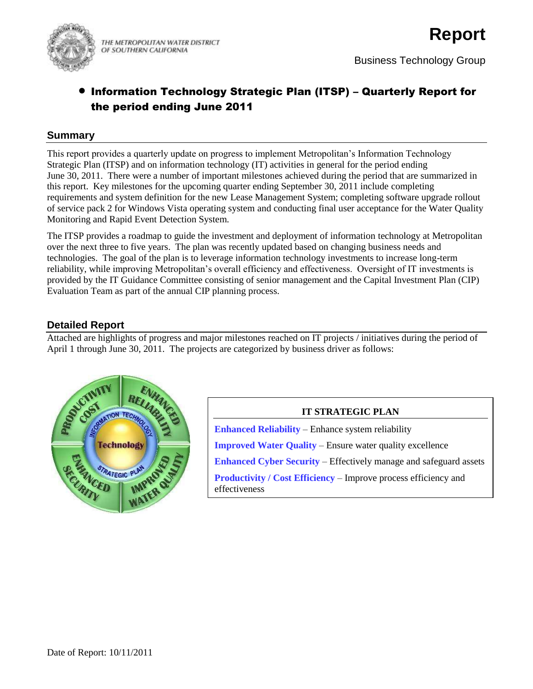

THE METROPOLITAN WATER DISTRICT OF SOUTHERN CALIFORNIA

# Information Technology Strategic Plan (ITSP) – Quarterly Report for the period ending June 2011

#### **Summary**

This report provides a quarterly update on progress to implement Metropolitan's Information Technology Strategic Plan (ITSP) and on information technology (IT) activities in general for the period ending June 30, 2011. There were a number of important milestones achieved during the period that are summarized in this report. Key milestones for the upcoming quarter ending September 30, 2011 include completing requirements and system definition for the new Lease Management System; completing software upgrade rollout of service pack 2 for Windows Vista operating system and conducting final user acceptance for the Water Quality Monitoring and Rapid Event Detection System.

The ITSP provides a roadmap to guide the investment and deployment of information technology at Metropolitan over the next three to five years. The plan was recently updated based on changing business needs and technologies. The goal of the plan is to leverage information technology investments to increase long-term reliability, while improving Metropolitan's overall efficiency and effectiveness. Oversight of IT investments is provided by the IT Guidance Committee consisting of senior management and the Capital Investment Plan (CIP) Evaluation Team as part of the annual CIP planning process.

# **Detailed Report**

Attached are highlights of progress and major milestones reached on IT projects / initiatives during the period of April 1 through June 30, 2011. The projects are categorized by business driver as follows:



#### **IT STRATEGIC PLAN**

**Enhanced Reliability** – Enhance system reliability **Improved Water Quality** – Ensure water quality excellence **Enhanced Cyber Security** – Effectively manage and safeguard assets **Productivity / Cost Efficiency – Improve process efficiency and** effectiveness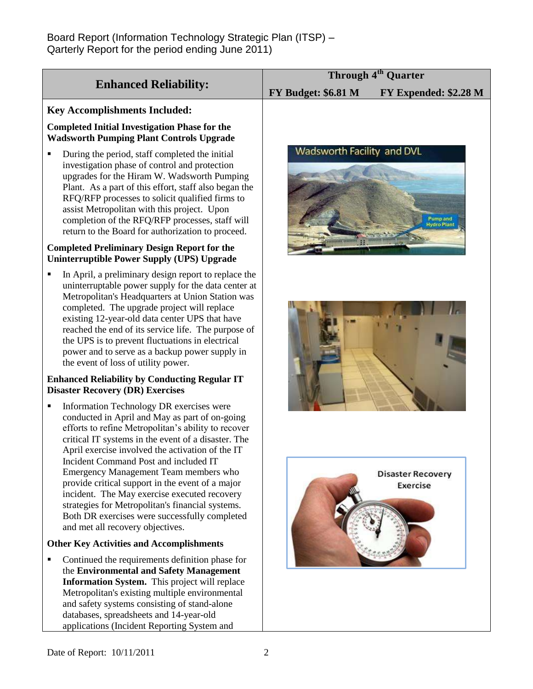| <b>Enhanced Reliability:</b>                                                                                                                                                                                                                                                                                                                                                                                                                                                                                                                                                                                                                   | Through 4 <sup>th</sup> Quarter |                                             |
|------------------------------------------------------------------------------------------------------------------------------------------------------------------------------------------------------------------------------------------------------------------------------------------------------------------------------------------------------------------------------------------------------------------------------------------------------------------------------------------------------------------------------------------------------------------------------------------------------------------------------------------------|---------------------------------|---------------------------------------------|
|                                                                                                                                                                                                                                                                                                                                                                                                                                                                                                                                                                                                                                                | FY Budget: \$6.81 M             | FY Expended: \$2.28 M                       |
| <b>Key Accomplishments Included:</b>                                                                                                                                                                                                                                                                                                                                                                                                                                                                                                                                                                                                           |                                 |                                             |
| <b>Completed Initial Investigation Phase for the</b><br><b>Wadsworth Pumping Plant Controls Upgrade</b>                                                                                                                                                                                                                                                                                                                                                                                                                                                                                                                                        |                                 |                                             |
| During the period, staff completed the initial<br>٠<br>investigation phase of control and protection<br>upgrades for the Hiram W. Wadsworth Pumping<br>Plant. As a part of this effort, staff also began the<br>RFQ/RFP processes to solicit qualified firms to<br>assist Metropolitan with this project. Upon<br>completion of the RFQ/RFP processes, staff will<br>return to the Board for authorization to proceed.<br><b>Completed Preliminary Design Report for the</b>                                                                                                                                                                   | Wadsworth Facility and DVL      | Pump and<br>Hydro Plant                     |
| Uninterruptible Power Supply (UPS) Upgrade                                                                                                                                                                                                                                                                                                                                                                                                                                                                                                                                                                                                     |                                 |                                             |
| In April, a preliminary design report to replace the<br>uninterruptable power supply for the data center at<br>Metropolitan's Headquarters at Union Station was<br>completed. The upgrade project will replace<br>existing 12-year-old data center UPS that have<br>reached the end of its service life. The purpose of<br>the UPS is to prevent fluctuations in electrical<br>power and to serve as a backup power supply in<br>the event of loss of utility power.                                                                                                                                                                           |                                 |                                             |
| <b>Enhanced Reliability by Conducting Regular IT</b><br><b>Disaster Recovery (DR) Exercises</b>                                                                                                                                                                                                                                                                                                                                                                                                                                                                                                                                                |                                 |                                             |
| Information Technology DR exercises were<br>conducted in April and May as part of on-going<br>efforts to refine Metropolitan's ability to recover<br>critical IT systems in the event of a disaster. The<br>April exercise involved the activation of the IT<br>Incident Command Post and included IT<br>Emergency Management Team members who<br>provide critical support in the event of a major<br>incident. The May exercise executed recovery<br>strategies for Metropolitan's financial systems.<br>Both DR exercises were successfully completed<br>and met all recovery objectives.<br><b>Other Key Activities and Accomplishments</b> |                                 | <b>Disaster Recovery</b><br><b>Exercise</b> |
| Continued the requirements definition phase for<br>٠                                                                                                                                                                                                                                                                                                                                                                                                                                                                                                                                                                                           |                                 |                                             |
| the Environmental and Safety Management<br>Information System. This project will replace<br>Metropolitan's existing multiple environmental<br>and safety systems consisting of stand-alone<br>databases, spreadsheets and 14-year-old<br>applications (Incident Reporting System and                                                                                                                                                                                                                                                                                                                                                           |                                 |                                             |
| Date of Report: 10/11/2011                                                                                                                                                                                                                                                                                                                                                                                                                                                                                                                                                                                                                     |                                 |                                             |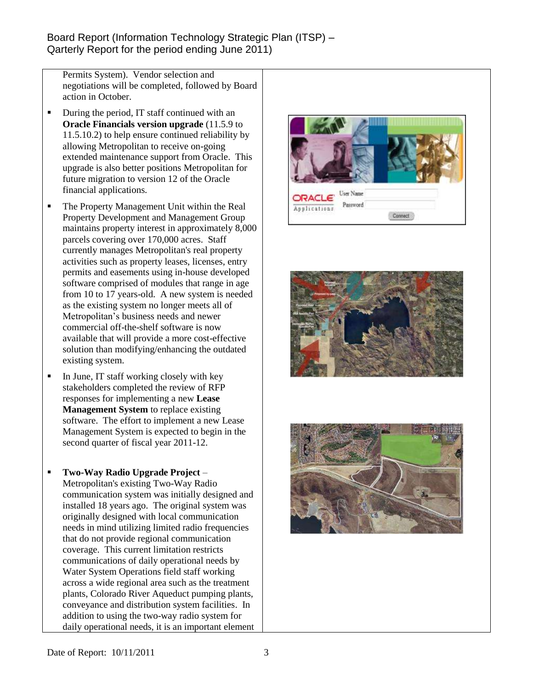Permits System). Vendor selection and negotiations will be completed, followed by Board action in October.

- During the period, IT staff continued with an **Oracle Financials version upgrade** (11.5.9 to 11.5.10.2) to help ensure continued reliability by allowing Metropolitan to receive on-going extended maintenance support from Oracle. This upgrade is also better positions Metropolitan for future migration to version 12 of the Oracle financial applications.
- The Property Management Unit within the Real Property Development and Management Group maintains property interest in approximately 8,000 parcels covering over 170,000 acres. Staff currently manages Metropolitan's real property activities such as property leases, licenses, entry permits and easements using in-house developed software comprised of modules that range in age from 10 to 17 years-old. A new system is needed as the existing system no longer meets all of Metropolitan's business needs and newer commercial off-the-shelf software is now available that will provide a more cost-effective solution than modifying/enhancing the outdated existing system.
- $\blacksquare$  In June, IT staff working closely with key stakeholders completed the review of RFP responses for implementing a new **Lease Management System** to replace existing software. The effort to implement a new Lease Management System is expected to begin in the second quarter of fiscal year 2011-12.
- **Two-Way Radio Upgrade Project** Metropolitan's existing Two-Way Radio communication system was initially designed and installed 18 years ago. The original system was originally designed with local communication needs in mind utilizing limited radio frequencies that do not provide regional communication coverage. This current limitation restricts communications of daily operational needs by Water System Operations field staff working across a wide regional area such as the treatment plants, Colorado River Aqueduct pumping plants, conveyance and distribution system facilities. In addition to using the two-way radio system for daily operational needs, it is an important element





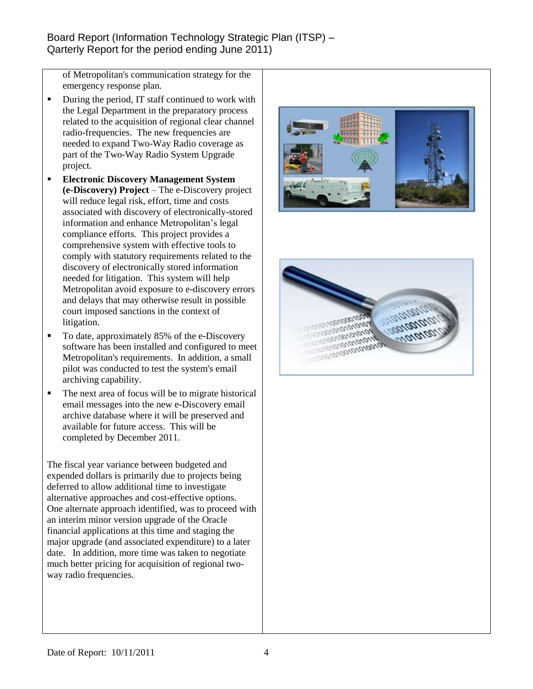of Metropolitan's communication strategy for the emergency response plan.

- During the period, IT staff continued to work with the Legal Department in the preparatory process related to the acquisition of regional clear channel radio-frequencies. The new frequencies are needed to expand Two-Way Radio coverage as part of the Two-Way Radio System Upgrade project.
- **Electronic Discovery Management System (e-Discovery) Project** – The e-Discovery project will reduce legal risk, effort, time and costs associated with discovery of electronically-stored information and enhance Metropolitan's legal compliance efforts. This project provides a comprehensive system with effective tools to comply with statutory requirements related to the discovery of electronically stored information needed for litigation. This system will help Metropolitan avoid exposure to e-discovery errors and delays that may otherwise result in possible court imposed sanctions in the context of litigation.
- To date, approximately 85% of the e-Discovery software has been installed and configured to meet Metropolitan's requirements. In addition, a small pilot was conducted to test the system's email archiving capability.
- The next area of focus will be to migrate historical email messages into the new e-Discovery email archive database where it will be preserved and available for future access. This will be completed by December 2011.

The fiscal year variance between budgeted and expended dollars is primarily due to projects being deferred to allow additional time to investigate alternative approaches and cost-effective options. One alternate approach identified, was to proceed with an interim minor version upgrade of the Oracle financial applications at this time and staging the major upgrade (and associated expenditure) to a later date. In addition, more time was taken to negotiate much better pricing for acquisition of regional twoway radio frequencies.



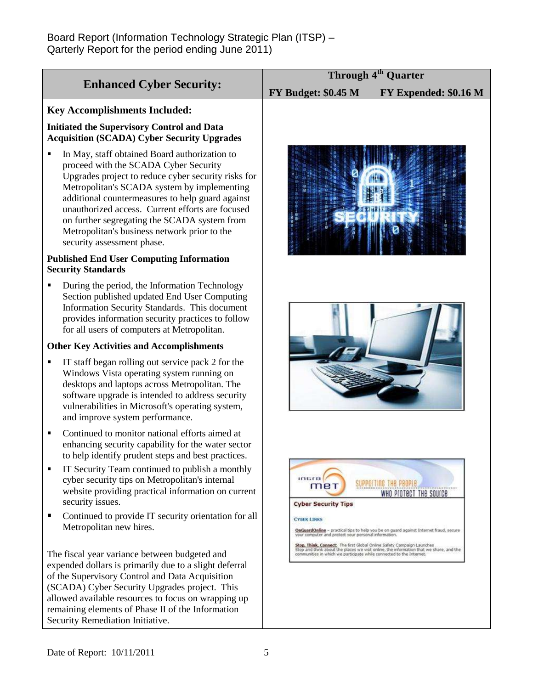|                                                                                                                                                                                                                                                                                                                                                                                                                                    | Through 4 <sup>th</sup> Quarter                                                                                                                                                                                                           |  |
|------------------------------------------------------------------------------------------------------------------------------------------------------------------------------------------------------------------------------------------------------------------------------------------------------------------------------------------------------------------------------------------------------------------------------------|-------------------------------------------------------------------------------------------------------------------------------------------------------------------------------------------------------------------------------------------|--|
| <b>Enhanced Cyber Security:</b>                                                                                                                                                                                                                                                                                                                                                                                                    | <b>FY Budget: \$0.45 M</b><br>FY Expended: \$0.16 M                                                                                                                                                                                       |  |
| <b>Key Accomplishments Included:</b>                                                                                                                                                                                                                                                                                                                                                                                               |                                                                                                                                                                                                                                           |  |
| <b>Initiated the Supervisory Control and Data</b><br><b>Acquisition (SCADA) Cyber Security Upgrades</b>                                                                                                                                                                                                                                                                                                                            |                                                                                                                                                                                                                                           |  |
| In May, staff obtained Board authorization to<br>proceed with the SCADA Cyber Security<br>Upgrades project to reduce cyber security risks for<br>Metropolitan's SCADA system by implementing<br>additional countermeasures to help guard against<br>unauthorized access. Current efforts are focused<br>on further segregating the SCADA system from<br>Metropolitan's business network prior to the<br>security assessment phase. |                                                                                                                                                                                                                                           |  |
| <b>Published End User Computing Information</b><br><b>Security Standards</b>                                                                                                                                                                                                                                                                                                                                                       |                                                                                                                                                                                                                                           |  |
| During the period, the Information Technology<br>$\blacksquare$<br>Section published updated End User Computing<br>Information Security Standards. This document<br>provides information security practices to follow<br>for all users of computers at Metropolitan.                                                                                                                                                               |                                                                                                                                                                                                                                           |  |
| <b>Other Key Activities and Accomplishments</b>                                                                                                                                                                                                                                                                                                                                                                                    |                                                                                                                                                                                                                                           |  |
| IT staff began rolling out service pack 2 for the<br>Windows Vista operating system running on<br>desktops and laptops across Metropolitan. The<br>software upgrade is intended to address security<br>vulnerabilities in Microsoft's operating system,<br>and improve system performance.                                                                                                                                         |                                                                                                                                                                                                                                           |  |
| Continued to monitor national efforts aimed at<br>$\blacksquare$<br>enhancing security capability for the water sector<br>to help identify prudent steps and best practices.                                                                                                                                                                                                                                                       |                                                                                                                                                                                                                                           |  |
| IT Security Team continued to publish a monthly<br>cyber security tips on Metropolitan's internal<br>website providing practical information on current<br>security issues.                                                                                                                                                                                                                                                        | inura<br>SUPPOITING THE PEOPLE<br>met<br>WHO PIOTECT THE SOUICE<br><b>Cyber Security Tips</b>                                                                                                                                             |  |
| Continued to provide IT security orientation for all<br>п<br>Metropolitan new hires.                                                                                                                                                                                                                                                                                                                                               | <b>CYBER LINKS</b><br>OnGuardOnline - practical tips to help you be on guard against Internet fraud, secure<br>your computer and protect your personal information.                                                                       |  |
| The fiscal year variance between budgeted and<br>expended dollars is primarily due to a slight deferral<br>of the Supervisory Control and Data Acquisition<br>(SCADA) Cyber Security Upgrades project. This<br>allowed available resources to focus on wrapping up<br>remaining elements of Phase II of the Information<br>Security Remediation Initiative.                                                                        | Stop, Think, Connect: The first Global Online Safety Campaign Launches<br>Stop and think about the places we visit online, the information that we share, and the<br>communities in which we participate while connected to the Internet. |  |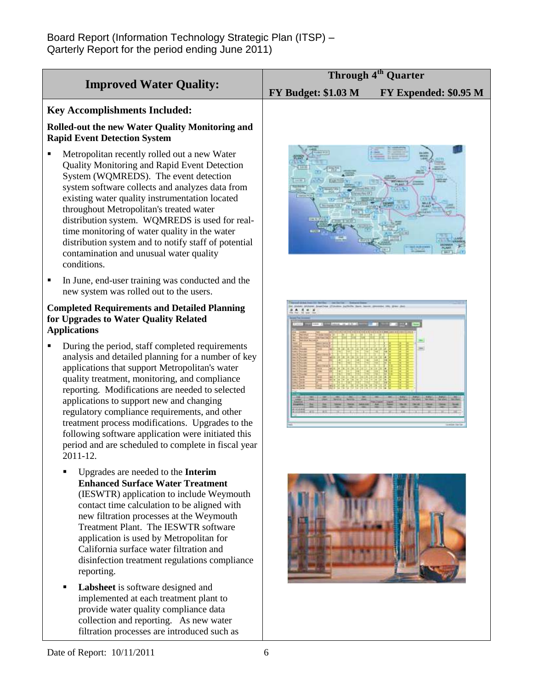| <b>Improved Water Quality:</b>                                                                                                                                                                                                                                                                                                                                                                                                                                                                                                                    | Through 4 <sup>th</sup> Quarter                     |
|---------------------------------------------------------------------------------------------------------------------------------------------------------------------------------------------------------------------------------------------------------------------------------------------------------------------------------------------------------------------------------------------------------------------------------------------------------------------------------------------------------------------------------------------------|-----------------------------------------------------|
|                                                                                                                                                                                                                                                                                                                                                                                                                                                                                                                                                   | <b>FY Budget: \$1.03 M</b><br>FY Expended: \$0.95 M |
| <b>Key Accomplishments Included:</b><br><b>Rolled-out the new Water Quality Monitoring and</b>                                                                                                                                                                                                                                                                                                                                                                                                                                                    |                                                     |
| <b>Rapid Event Detection System</b><br>Metropolitan recently rolled out a new Water<br>Quality Monitoring and Rapid Event Detection<br>System (WQMREDS). The event detection<br>system software collects and analyzes data from<br>existing water quality instrumentation located<br>throughout Metropolitan's treated water<br>distribution system. WQMREDS is used for real-<br>time monitoring of water quality in the water<br>distribution system and to notify staff of potential<br>contamination and unusual water quality<br>conditions. |                                                     |
| In June, end-user training was conducted and the<br>new system was rolled out to the users.                                                                                                                                                                                                                                                                                                                                                                                                                                                       |                                                     |
| <b>Completed Requirements and Detailed Planning</b><br>for Upgrades to Water Quality Related<br><b>Applications</b>                                                                                                                                                                                                                                                                                                                                                                                                                               |                                                     |
| During the period, staff completed requirements<br>analysis and detailed planning for a number of key<br>applications that support Metropolitan's water<br>quality treatment, monitoring, and compliance<br>reporting. Modifications are needed to selected<br>applications to support new and changing<br>regulatory compliance requirements, and other<br>treatment process modifications. Upgrades to the<br>following software application were initiated this<br>period and are scheduled to complete in fiscal year<br>2011-12.             |                                                     |
| Upgrades are needed to the Interim<br><b>Enhanced Surface Water Treatment</b><br>(IESWTR) application to include Weymouth<br>contact time calculation to be aligned with<br>new filtration processes at the Weymouth<br>Treatment Plant. The IESWTR software<br>application is used by Metropolitan for<br>California surface water filtration and<br>disinfection treatment regulations compliance<br>reporting.                                                                                                                                 |                                                     |
| Labsheet is software designed and<br>٠<br>implemented at each treatment plant to<br>provide water quality compliance data<br>collection and reporting. As new water                                                                                                                                                                                                                                                                                                                                                                               |                                                     |

filtration processes are introduced such as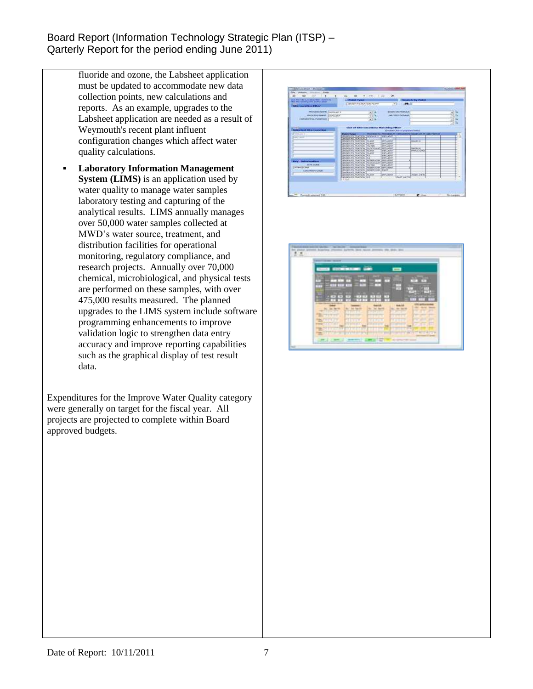- fluoride and ozone, the Labsheet application must be updated to accommodate new data collection points, new calculations and reports. As an example, upgrades to the Labsheet application are needed as a result of Weymouth's recent plant influent configuration changes which affect water quality calculations.
- **Laboratory Information Management System (LIMS)** is an application used by water quality to manage water samples laboratory testing and capturing of the analytical results. LIMS annually manages over 50,000 water samples collected at MWD's water source, treatment, and distribution facilities for operational monitoring, regulatory compliance, and research projects. Annually over 70,000 chemical, microbiological, and physical tests are performed on these samples, with over 475,000 results measured. The planned upgrades to the LIMS system include software programming enhancements to improve validation logic to strengthen data entry accuracy and improve reporting capabilities such as the graphical display of test result data.

Expenditures for the Improve Water Quality category were generally on target for the fiscal year. All projects are projected to complete within Board approved budgets.



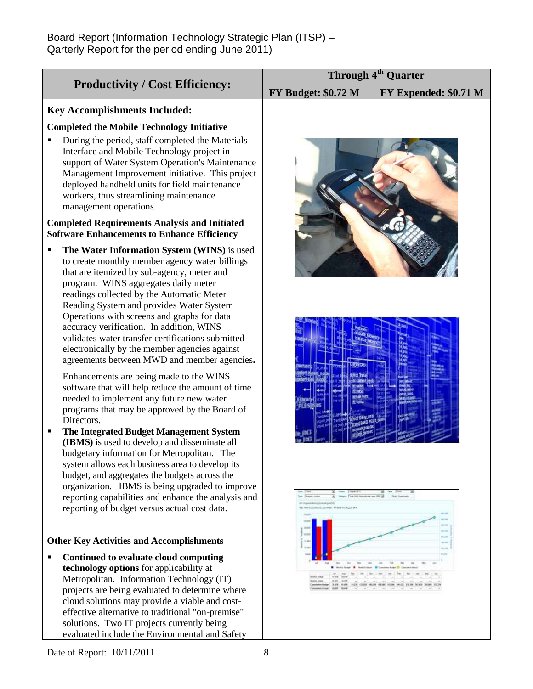| <b>Productivity / Cost Efficiency:</b>                                                                                                                                                                                                                                                                                                                                  | Through 4 <sup>th</sup> Quarter                     |
|-------------------------------------------------------------------------------------------------------------------------------------------------------------------------------------------------------------------------------------------------------------------------------------------------------------------------------------------------------------------------|-----------------------------------------------------|
|                                                                                                                                                                                                                                                                                                                                                                         | <b>FY Budget: \$0.72 M</b><br>FY Expended: \$0.71 M |
| <b>Key Accomplishments Included:</b>                                                                                                                                                                                                                                                                                                                                    |                                                     |
| <b>Completed the Mobile Technology Initiative</b>                                                                                                                                                                                                                                                                                                                       |                                                     |
| During the period, staff completed the Materials<br>Interface and Mobile Technology project in<br>support of Water System Operation's Maintenance<br>Management Improvement initiative. This project<br>deployed handheld units for field maintenance<br>workers, thus streamlining maintenance<br>management operations.                                               |                                                     |
| <b>Completed Requirements Analysis and Initiated</b><br><b>Software Enhancements to Enhance Efficiency</b>                                                                                                                                                                                                                                                              |                                                     |
| The Water Information System (WINS) is used<br>to create monthly member agency water billings<br>that are itemized by sub-agency, meter and<br>program. WINS aggregates daily meter<br>readings collected by the Automatic Meter<br>Reading System and provides Water System<br>Operations with screens and graphs for data<br>accuracy verification. In addition, WINS |                                                     |
| validates water transfer certifications submitted<br>electronically by the member agencies against<br>agreements between MWD and member agencies.                                                                                                                                                                                                                       |                                                     |
| Enhancements are being made to the WINS<br>software that will help reduce the amount of time<br>needed to implement any future new water<br>programs that may be approved by the Board of<br>Directors.                                                                                                                                                                 |                                                     |
| The Integrated Budget Management System<br>(IBMS) is used to develop and disseminate all<br>budgetary information for Metropolitan. The<br>system allows each business area to develop its<br>budget, and aggregates the budgets across the<br>organization. IBMS is being upgraded to improve                                                                          |                                                     |
| reporting capabilities and enhance the analysis and<br>reporting of budget versus actual cost data.                                                                                                                                                                                                                                                                     | BON LINAAHEG IKMO                                   |
| <b>Other Key Activities and Accomplishments</b>                                                                                                                                                                                                                                                                                                                         |                                                     |
| Continued to evaluate cloud computing<br>technology options for applicability at<br>Metropolitan. Information Technology (IT)<br>projects are being evaluated to determine where<br>cloud solutions may provide a viable and cost-<br>effective alternative to traditional "on-premise"<br>solutions. Two IT projects currently being                                   |                                                     |

evaluated include the Environmental and Safety